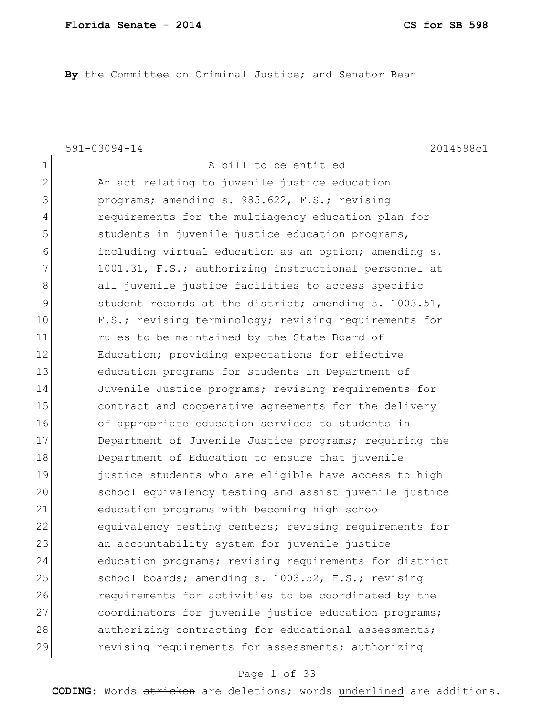**By** the Committee on Criminal Justice; and Senator Bean

1 a bill to be entitled

591-03094-14 2014598c1

2 An act relating to juvenile justice education 3 programs; amending s. 985.622, F.S.; revising 4 requirements for the multiagency education plan for 5 students in juvenile justice education programs, 6 including virtual education as an option; amending s. 7 1001.31, F.S.; authorizing instructional personnel at 8 all juvenile justice facilities to access specific 9 student records at the district; amending s. 1003.51, 10 F.S.; revising terminology; revising requirements for 11 rules to be maintained by the State Board of 12 Education; providing expectations for effective 13 education programs for students in Department of 14 Juvenile Justice programs; revising requirements for 15 15 contract and cooperative agreements for the delivery 16 of appropriate education services to students in 17 Department of Juvenile Justice programs; requiring the 18 Department of Education to ensure that juvenile 19 **justice students who are eligible have access to high** 20 School equivalency testing and assist juvenile justice 21 education programs with becoming high school 22 equivalency testing centers; revising requirements for 23 an accountability system for juvenile justice 24 education programs; revising requirements for district 25 School boards; amending s. 1003.52, F.S.; revising 26 **requirements for activities to be coordinated by the** 27 coordinators for juvenile justice education programs; 28 authorizing contracting for educational assessments; 29 revising requirements for assessments; authorizing

### Page 1 of 33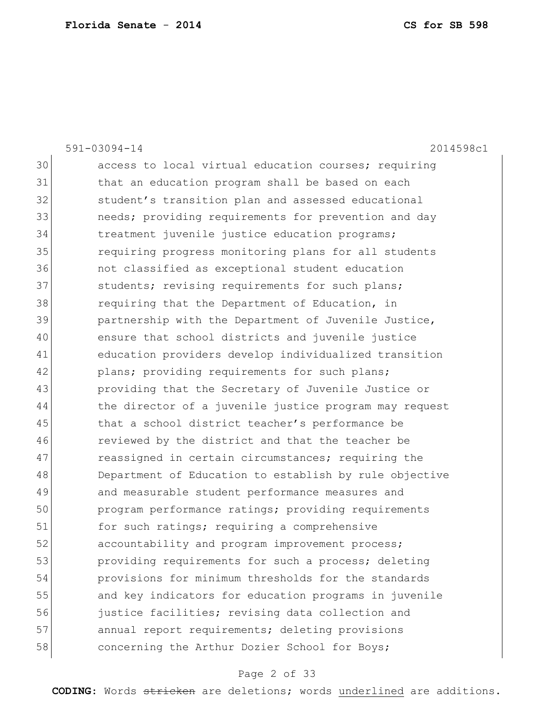|    | 2014598c1<br>$591 - 03094 - 14$                        |
|----|--------------------------------------------------------|
| 30 | access to local virtual education courses; requiring   |
| 31 | that an education program shall be based on each       |
| 32 | student's transition plan and assessed educational     |
| 33 | needs; providing requirements for prevention and day   |
| 34 | treatment juvenile justice education programs;         |
| 35 | requiring progress monitoring plans for all students   |
| 36 | not classified as exceptional student education        |
| 37 | students; revising requirements for such plans;        |
| 38 | requiring that the Department of Education, in         |
| 39 | partnership with the Department of Juvenile Justice,   |
| 40 | ensure that school districts and juvenile justice      |
| 41 | education providers develop individualized transition  |
| 42 | plans; providing requirements for such plans;          |
| 43 | providing that the Secretary of Juvenile Justice or    |
| 44 | the director of a juvenile justice program may request |
| 45 | that a school district teacher's performance be        |
| 46 | reviewed by the district and that the teacher be       |
| 47 | reassigned in certain circumstances; requiring the     |
| 48 | Department of Education to establish by rule objective |
| 49 | and measurable student performance measures and        |
| 50 | program performance ratings; providing requirements    |
| 51 | for such ratings; requiring a comprehensive            |
| 52 | accountability and program improvement process;        |
| 53 | providing requirements for such a process; deleting    |
| 54 | provisions for minimum thresholds for the standards    |
| 55 | and key indicators for education programs in juvenile  |
| 56 | justice facilities; revising data collection and       |
| 57 | annual report requirements; deleting provisions        |
| 58 | concerning the Arthur Dozier School for Boys;          |

# Page 2 of 33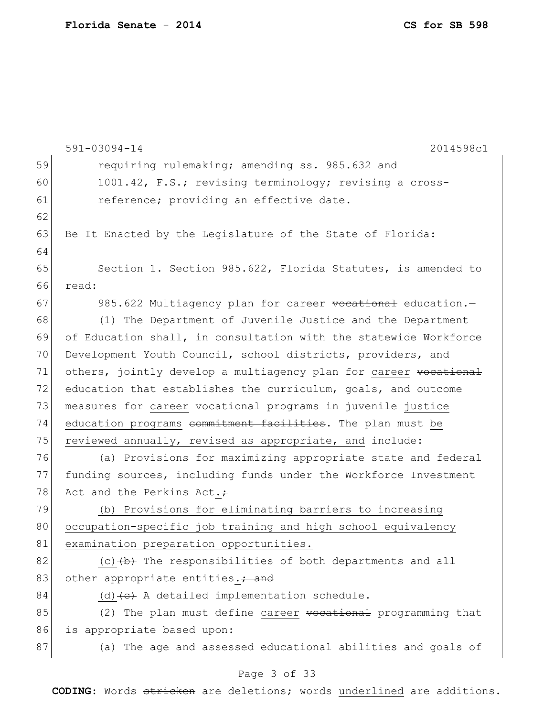|    | $591 - 03094 - 14$<br>2014598c1                                  |
|----|------------------------------------------------------------------|
| 59 | requiring rulemaking; amending ss. 985.632 and                   |
| 60 | 1001.42, F.S.; revising terminology; revising a cross-           |
| 61 | reference; providing an effective date.                          |
| 62 |                                                                  |
| 63 | Be It Enacted by the Legislature of the State of Florida:        |
| 64 |                                                                  |
| 65 | Section 1. Section 985.622, Florida Statutes, is amended to      |
| 66 | read:                                                            |
| 67 | 985.622 Multiagency plan for career vocational education.-       |
| 68 | (1) The Department of Juvenile Justice and the Department        |
| 69 | of Education shall, in consultation with the statewide Workforce |
| 70 | Development Youth Council, school districts, providers, and      |
| 71 | others, jointly develop a multiagency plan for career vocational |
| 72 | education that establishes the curriculum, goals, and outcome    |
| 73 | measures for career vocational programs in juvenile justice      |
| 74 | education programs commitment facilities. The plan must be       |
| 75 | reviewed annually, revised as appropriate, and include:          |
| 76 | (a) Provisions for maximizing appropriate state and federal      |
| 77 | funding sources, including funds under the Workforce Investment  |
| 78 | Act and the Perkins Act.+                                        |
| 79 | (b) Provisions for eliminating barriers to increasing            |
| 80 | occupation-specific job training and high school equivalency     |
| 81 | examination preparation opportunities.                           |
| 82 | (c) $\{b\}$ The responsibilities of both departments and all     |
| 83 | other appropriate entities.; and                                 |
| 84 | $(d)$ (d) $(e)$ A detailed implementation schedule.              |
| 85 | (2) The plan must define career vocational programming that      |
| 86 | is appropriate based upon:                                       |
| 87 | (a) The age and assessed educational abilities and goals of      |
|    | Page 3 of 33                                                     |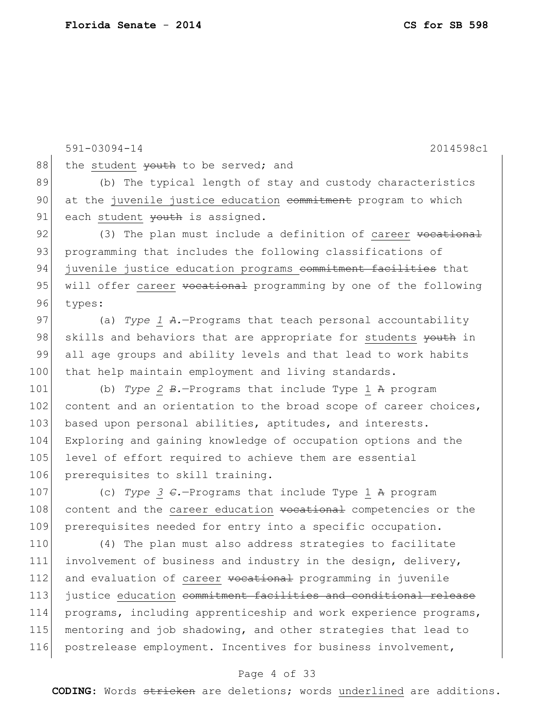591-03094-14 2014598c1 88 the student youth to be served; and 89 (b) The typical length of stay and custody characteristics 90 at the juvenile justice education commitment program to which 91| each student youth is assigned. 92 (3) The plan must include a definition of career <del>vocational</del> 93 programming that includes the following classifications of 94 juvenile justice education programs commitment facilities that 95 will offer career vocational programming by one of the following 96 types: 97 (a) *Type 1 A.*—Programs that teach personal accountability 98 skills and behaviors that are appropriate for students youth in 99 all age groups and ability levels and that lead to work habits 100 that help maintain employment and living standards. 101 (b) *Type 2 B.*—Programs that include Type 1 A program 102 content and an orientation to the broad scope of career choices, 103 based upon personal abilities, aptitudes, and interests. 104 Exploring and gaining knowledge of occupation options and the 105 level of effort required to achieve them are essential 106 prerequisites to skill training. 107 (c) *Type 3 C.*—Programs that include Type 1 A program 108 content and the career education vocational competencies or the 109 prerequisites needed for entry into a specific occupation. 110 (4) The plan must also address strategies to facilitate 111 involvement of business and industry in the design, delivery, 112 and evaluation of career vocational programming in juvenile 113 justice education commitment facilities and conditional release 114 programs, including apprenticeship and work experience programs, 115 mentoring and job shadowing, and other strategies that lead to 116 postrelease employment. Incentives for business involvement,

### Page 4 of 33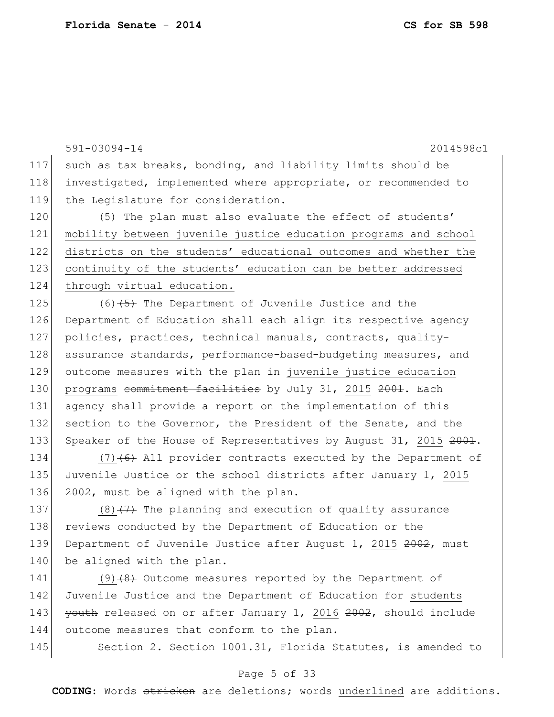591-03094-14 2014598c1 117 such as tax breaks, bonding, and liability limits should be 118 investigated, implemented where appropriate, or recommended to 119 the Legislature for consideration. 120 (5) The plan must also evaluate the effect of students' 121 mobility between juvenile justice education programs and school 122 districts on the students' educational outcomes and whether the 123 continuity of the students' education can be better addressed 124 through virtual education. 125  $(6)$   $(5)$  The Department of Juvenile Justice and the 126 Department of Education shall each align its respective agency 127 policies, practices, technical manuals, contracts, quality-128 assurance standards, performance-based-budgeting measures, and 129 outcome measures with the plan in juvenile justice education 130 programs commitment facilities by July 31, 2015 2001. Each 131 agency shall provide a report on the implementation of this 132 section to the Governor, the President of the Senate, and the 133 Speaker of the House of Representatives by August 31, 2015 2001. 134  $(7)$  (6) All provider contracts executed by the Department of

135 Juvenile Justice or the school districts after January 1, 2015 136  $2002$ , must be aligned with the plan.

137 (8) $(7)$  The planning and execution of quality assurance 138 reviews conducted by the Department of Education or the 139 Department of Juvenile Justice after August 1, 2015 2002, must 140 be aligned with the plan.

141 (9)<del>(8)</del> Outcome measures reported by the Department of 142 Juvenile Justice and the Department of Education for students 143 youth released on or after January 1, 2016 2002, should include 144 outcome measures that conform to the plan.

145 Section 2. Section 1001.31, Florida Statutes, is amended to

### Page 5 of 33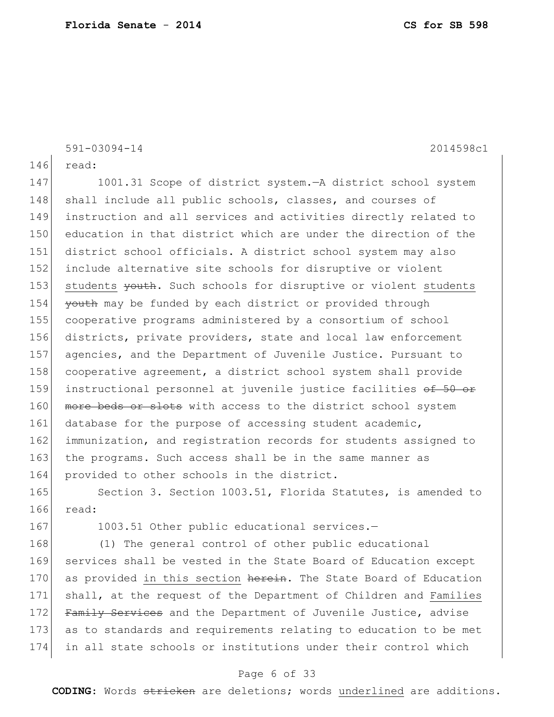591-03094-14 2014598c1

146 read:

147 1001.31 Scope of district system.—A district school system 148 shall include all public schools, classes, and courses of 149 instruction and all services and activities directly related to 150 education in that district which are under the direction of the 151 district school officials. A district school system may also 152 include alternative site schools for disruptive or violent 153 students vouth. Such schools for disruptive or violent students 154 youth may be funded by each district or provided through 155 cooperative programs administered by a consortium of school 156 districts, private providers, state and local law enforcement 157 agencies, and the Department of Juvenile Justice. Pursuant to 158 cooperative agreement, a district school system shall provide 159 instructional personnel at juvenile justice facilities of 50 or 160 more beds or slots with access to the district school system 161 database for the purpose of accessing student academic, 162 immunization, and registration records for students assigned to 163 the programs. Such access shall be in the same manner as 164 provided to other schools in the district.

165 Section 3. Section 1003.51, Florida Statutes, is amended to 166 read:

167 1003.51 Other public educational services.-

168 (1) The general control of other public educational 169 services shall be vested in the State Board of Education except 170 as provided in this section herein. The State Board of Education 171 shall, at the request of the Department of Children and Families 172 Family Services and the Department of Juvenile Justice, advise 173 as to standards and requirements relating to education to be met 174 in all state schools or institutions under their control which

### Page 6 of 33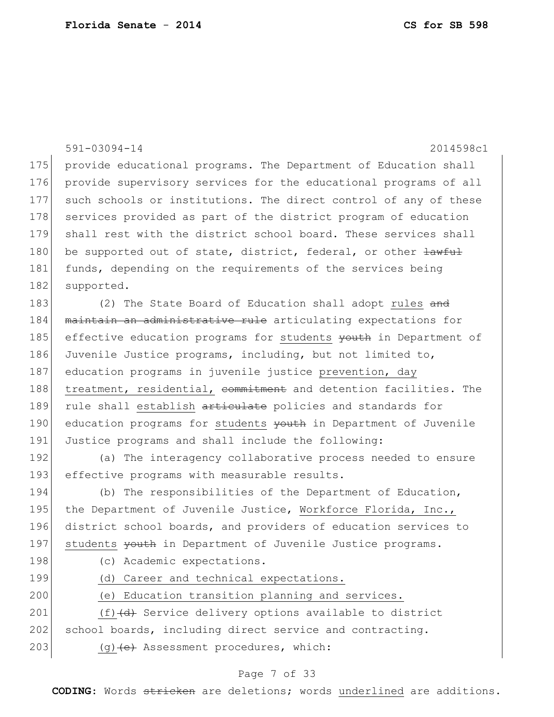|     | $591 - 03094 - 14$<br>2014598c1                                      |
|-----|----------------------------------------------------------------------|
| 175 | provide educational programs. The Department of Education shall      |
| 176 | provide supervisory services for the educational programs of all     |
| 177 | such schools or institutions. The direct control of any of these     |
| 178 | services provided as part of the district program of education       |
| 179 | shall rest with the district school board. These services shall      |
| 180 | be supported out of state, district, federal, or other $\frac{1}{2}$ |
| 181 | funds, depending on the requirements of the services being           |
| 182 | supported.                                                           |
| 183 | (2) The State Board of Education shall adopt rules and               |
| 184 | maintain an administrative rule articulating expectations for        |
| 185 | effective education programs for students youth in Department of     |
| 186 | Juvenile Justice programs, including, but not limited to,            |
| 187 | education programs in juvenile justice prevention, day               |
| 188 | treatment, residential, commitment and detention facilities. The     |
| 189 | rule shall establish articulate policies and standards for           |
| 190 | education programs for students youth in Department of Juvenile      |
| 191 | Justice programs and shall include the following:                    |
| 192 | (a) The interagency collaborative process needed to ensure           |
| 193 | effective programs with measurable results.                          |
| 194 | (b) The responsibilities of the Department of Education,             |
| 195 | the Department of Juvenile Justice, Workforce Florida, Inc.,         |
| 196 | district school boards, and providers of education services to       |
| 197 | students youth in Department of Juvenile Justice programs.           |
| 198 | (c) Academic expectations.                                           |
| 199 | (d) Career and technical expectations.                               |
| 200 | (e) Education transition planning and services.                      |
| 201 | $(f)$ $(d)$ Service delivery options available to district           |
| 202 | school boards, including direct service and contracting.             |
| 203 | (g) (e) Assessment procedures, which:                                |
|     | Page 7 of 33                                                         |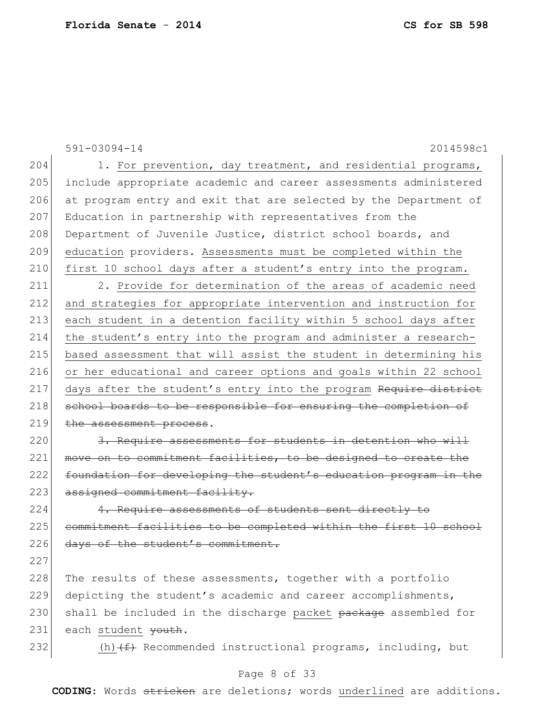591-03094-14 2014598c1 Page 8 of 33 204 1. For prevention, day treatment, and residential programs, 205 include appropriate academic and career assessments administered 206 at program entry and exit that are selected by the Department of 207 Education in partnership with representatives from the 208 Department of Juvenile Justice, district school boards, and 209 education providers. Assessments must be completed within the 210 first 10 school days after a student's entry into the program. 211 2. Provide for determination of the areas of academic need 212 and strategies for appropriate intervention and instruction for 213 each student in a detention facility within 5 school days after 214 the student's entry into the program and administer a research-215 based assessment that will assist the student in determining his 216 or her educational and career options and goals within 22 school 217 days after the student's entry into the program Require district 218 school boards to be responsible for ensuring the completion of 219 the assessment process. 220 3. Require assessments for students in detention who will 221 move on to commitment facilities, to be designed to create the 222 foundation for developing the student's education program in the 223 assigned commitment facility. 224 4. Require assessments of students sent directly to 225 commitment facilities to be completed within the first 10 school 226 days of the student's commitment. 227 228 The results of these assessments, together with a portfolio 229 depicting the student's academic and career accomplishments, 230 shall be included in the discharge packet package assembled for 231 each student youth. 232 (h)  $(f)$  Recommended instructional programs, including, but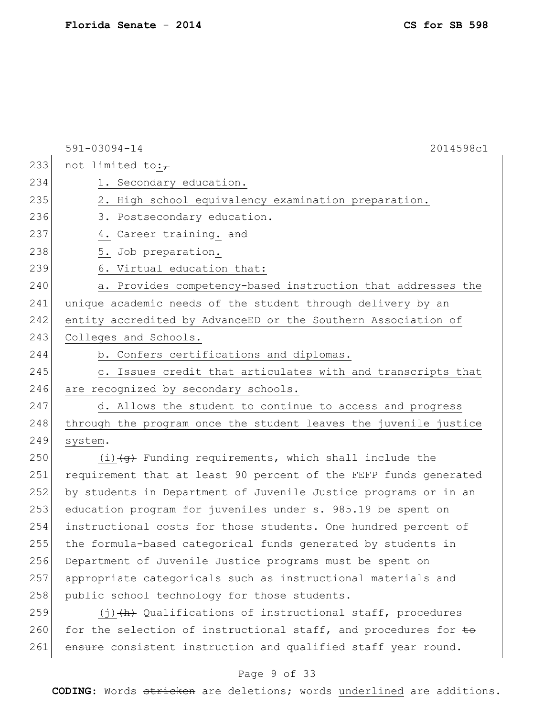591-03094-14 2014598c1 233 not limited to: $\tau$ 234 1. Secondary education. 235 2. High school equivalency examination preparation. 236 3. Postsecondary education. 237 4. Career training. and 238 5. Job preparation. 239 6. Virtual education that: 240 a. Provides competency-based instruction that addresses the 241 unique academic needs of the student through delivery by an 242 entity accredited by AdvanceED or the Southern Association of 243 Colleges and Schools. 244 b. Confers certifications and diplomas. 245 c. Issues credit that articulates with and transcripts that 246 are recognized by secondary schools. 247 d. Allows the student to continue to access and progress 248 through the program once the student leaves the juvenile justice 249 system. 250  $(i)$   $\left( j \right)$  Funding requirements, which shall include the 251 requirement that at least 90 percent of the FEFP funds generated 252 by students in Department of Juvenile Justice programs or in an 253 education program for juveniles under s. 985.19 be spent on 254 instructional costs for those students. One hundred percent of 255 the formula-based categorical funds generated by students in 256 Department of Juvenile Justice programs must be spent on 257 appropriate categoricals such as instructional materials and 258 public school technology for those students. 259  $(j)$  (j)(h) Qualifications of instructional staff, procedures 260 for the selection of instructional staff, and procedures for  $\pm \Theta$ 261 ensure consistent instruction and qualified staff year round.

#### Page 9 of 33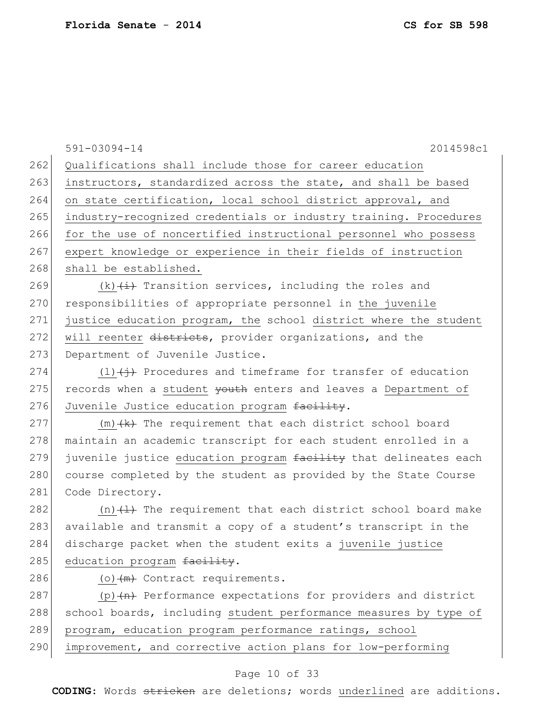591-03094-14 2014598c1 262 Qualifications shall include those for career education 263 instructors, standardized across the state, and shall be based 264 on state certification, local school district approval, and 265 industry-recognized credentials or industry training. Procedures 266 for the use of noncertified instructional personnel who possess 267 expert knowledge or experience in their fields of instruction 268 shall be established. 269 (k)  $\leftarrow$  (k)  $\leftarrow$  Transition services, including the roles and 270 responsibilities of appropriate personnel in the juvenile 271 justice education program, the school district where the student 272 will reenter districts, provider organizations, and the 273 Department of Juvenile Justice. 274  $(1)$   $(1)$   $(+)$  Procedures and timeframe for transfer of education 275 records when a student youth enters and leaves a Department of 276 Juvenile Justice education program facility.  $277$  (m)  $(k)$  The requirement that each district school board 278 maintain an academic transcript for each student enrolled in a 279 juvenile justice education program facility that delineates each 280 course completed by the student as provided by the State Course 281 Code Directory. 282  $(n)$   $(1)$  The requirement that each district school board make 283 available and transmit a copy of a student's transcript in the 284 discharge packet when the student exits a juvenile justice 285 education program facility.  $286$  (o)  $\left(\frac{m}{m}\right)$  Contract requirements. 287 (p) $(n)$  Performance expectations for providers and district 288 school boards, including student performance measures by type of 289 program, education program performance ratings, school 290 improvement, and corrective action plans for low-performing

### Page 10 of 33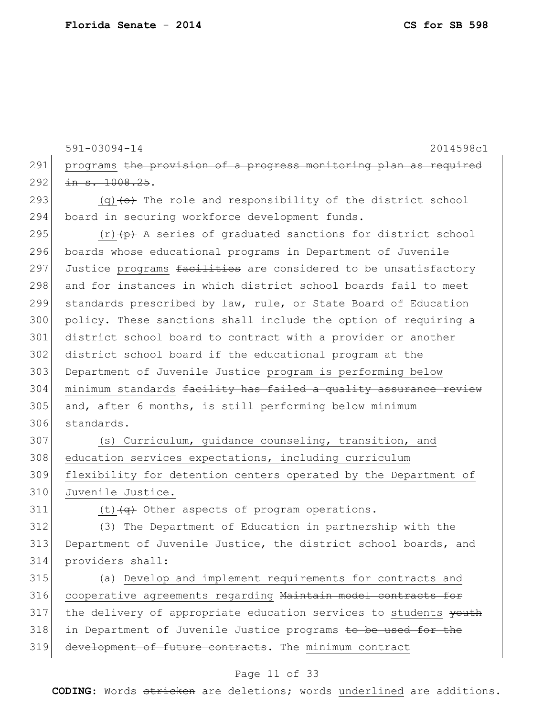591-03094-14 2014598c1 291 programs the provision of a progress monitoring plan as required  $292$  in s.  $1008.25$ . 293  $(q)$  (q)  $\leftrightarrow$  The role and responsibility of the district school 294 board in securing workforce development funds. 295  $(r)$  (r)  $(p)$  A series of graduated sanctions for district school 296 boards whose educational programs in Department of Juvenile 297 Justice programs facilities are considered to be unsatisfactory 298 and for instances in which district school boards fail to meet 299 standards prescribed by law, rule, or State Board of Education 300 policy. These sanctions shall include the option of requiring a 301 district school board to contract with a provider or another 302 district school board if the educational program at the 303 Department of Juvenile Justice program is performing below 304 minimum standards facility has failed a quality assurance review 305 and, after 6 months, is still performing below minimum 306 standards. 307 (s) Curriculum, guidance counseling, transition, and 308 education services expectations, including curriculum 309 flexibility for detention centers operated by the Department of 310 Juvenile Justice. 311  $(t)$   $\left($   $\frac{1}{t}$  Other aspects of program operations. 312 (3) The Department of Education in partnership with the 313 Department of Juvenile Justice, the district school boards, and 314 providers shall: 315 (a) Develop and implement requirements for contracts and 316 cooperative agreements regarding Maintain model contracts for 317 the delivery of appropriate education services to students youth 318 in Department of Juvenile Justice programs to be used for the 319 development of future contracts. The minimum contract

#### Page 11 of 33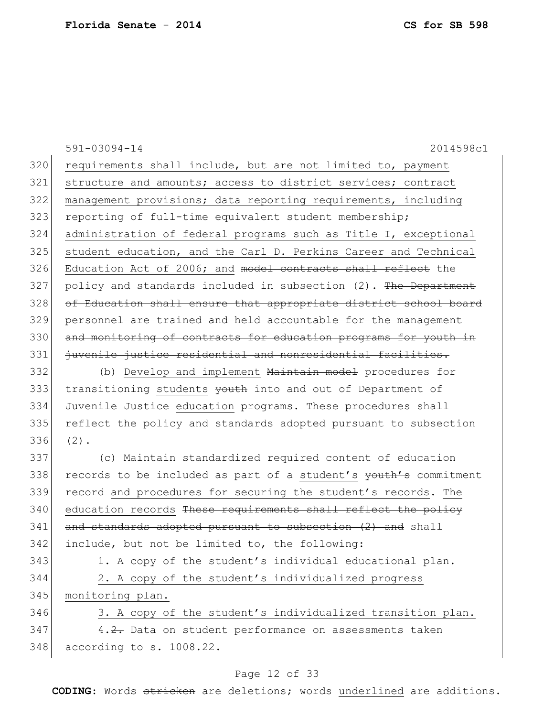|     | $591 - 03094 - 14$<br>2014598c1                                  |
|-----|------------------------------------------------------------------|
| 320 | requirements shall include, but are not limited to, payment      |
| 321 | structure and amounts; access to district services; contract     |
| 322 | management provisions; data reporting requirements, including    |
| 323 | reporting of full-time equivalent student membership;            |
| 324 | administration of federal programs such as Title I, exceptional  |
| 325 | student education, and the Carl D. Perkins Career and Technical  |
| 326 | Education Act of 2006; and model contracts shall reflect the     |
| 327 | policy and standards included in subsection (2). The Department  |
| 328 | of Education shall ensure that appropriate district school board |
| 329 | personnel are trained and held accountable for the management    |
| 330 | and monitoring of contracts for education programs for youth in  |
| 331 | juvenile justice residential and nonresidential facilities.      |
| 332 | (b) Develop and implement Maintain model procedures for          |
| 333 | transitioning students youth into and out of Department of       |
| 334 | Juvenile Justice education programs. These procedures shall      |
| 335 | reflect the policy and standards adopted pursuant to subsection  |
| 336 | $(2)$ .                                                          |
| 337 | (c) Maintain standardized required content of education          |
| 338 | records to be included as part of a student's youth's commitment |
| 339 | record and procedures for securing the student's records. The    |
| 340 | education records These requirements shall reflect the policy    |
| 341 | and standards adopted pursuant to subsection (2) and shall       |
| 342 | include, but not be limited to, the following:                   |
| 343 | 1. A copy of the student's individual educational plan.          |
| 344 | 2. A copy of the student's individualized progress               |
| 345 | monitoring plan.                                                 |
| 346 | 3. A copy of the student's individualized transition plan.       |
| 347 | 4.2. Data on student performance on assessments taken            |
| 348 | according to s. 1008.22.                                         |
|     | Page 12 of 33                                                    |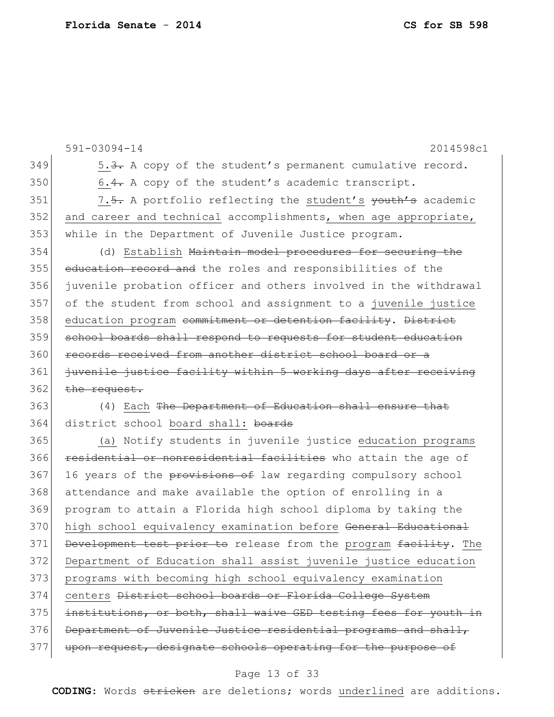|     | $591 - 03094 - 14$<br>2014598c1                                           |
|-----|---------------------------------------------------------------------------|
| 349 | 5.3. A copy of the student's permanent cumulative record.                 |
| 350 | 6.4. A copy of the student's academic transcript.                         |
| 351 | 7.5. A portfolio reflecting the student's youth's academic                |
| 352 | and career and technical accomplishments, when age appropriate,           |
| 353 | while in the Department of Juvenile Justice program.                      |
| 354 | (d) Establish Maintain model procedures for securing the                  |
| 355 | education record and the roles and responsibilities of the                |
| 356 | juvenile probation officer and others involved in the withdrawal          |
| 357 | of the student from school and assignment to a juvenile justice           |
| 358 | education program commitment or detention facility. District              |
| 359 | school boards shall respond to requests for student education             |
| 360 | records received from another district school board or a                  |
| 361 | juvenile justice facility within 5 working days after receiving           |
| 362 | the request.                                                              |
| 363 | (4) Each The Department of Education shall ensure that                    |
| 364 | district school board shall: boards                                       |
| 365 | (a) Notify students in juvenile justice education programs                |
| 366 | residential or nonresidential facilities who attain the age of            |
| 367 | 16 years of the provisions of law regarding compulsory school             |
| 368 | attendance and make available the option of enrolling in a                |
| 369 | program to attain a Florida high school diploma by taking the             |
| 370 | high school equivalency examination before <del>General Educational</del> |
| 371 | Development test prior to release from the program facility. The          |
| 372 | Department of Education shall assist juvenile justice education           |
| 373 | programs with becoming high school equivalency examination                |
| 374 | centers District school boards or Florida College System                  |
| 375 | institutions, or both, shall waive GED testing fees for youth in          |
| 376 | Department of Juvenile Justice residential programs and shall,            |
| 377 | upon request, designate schools operating for the purpose of              |

# Page 13 of 33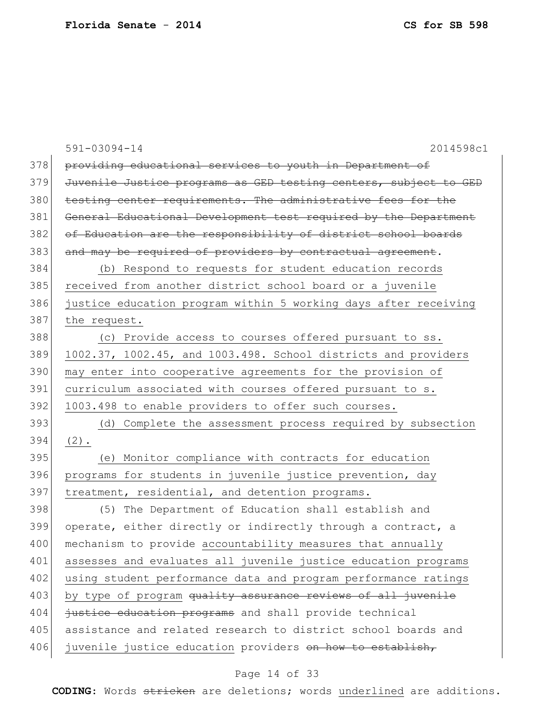|     | $591 - 03094 - 14$<br>2014598c1                                  |
|-----|------------------------------------------------------------------|
| 378 | providing educational services to youth in Department of         |
| 379 | Juvenile Justice programs as GED testing centers, subject to GED |
| 380 | testing center requirements. The administrative fees for the     |
| 381 | General Educational Development test required by the Department  |
| 382 | of Education are the responsibility of district school boards    |
| 383 | and may be required of providers by contractual agreement.       |
| 384 | (b) Respond to requests for student education records            |
| 385 | received from another district school board or a juvenile        |
| 386 | justice education program within 5 working days after receiving  |
| 387 | the request.                                                     |
| 388 | (c) Provide access to courses offered pursuant to ss.            |
| 389 | 1002.37, 1002.45, and 1003.498. School districts and providers   |
| 390 | may enter into cooperative agreements for the provision of       |
| 391 | curriculum associated with courses offered pursuant to s.        |
| 392 | 1003.498 to enable providers to offer such courses.              |
| 393 | (d) Complete the assessment process required by subsection       |
| 394 | $(2)$ .                                                          |
| 395 | (e) Monitor compliance with contracts for education              |
| 396 | programs for students in juvenile justice prevention, day        |
| 397 | treatment, residential, and detention programs.                  |
| 398 | (5) The Department of Education shall establish and              |
| 399 | operate, either directly or indirectly through a contract, a     |
| 400 | mechanism to provide accountability measures that annually       |
| 401 | assesses and evaluates all juvenile justice education programs   |
| 402 | using student performance data and program performance ratings   |
| 403 | by type of program quality assurance reviews of all juvenile     |
| 404 | justice education programs and shall provide technical           |
| 405 | assistance and related research to district school boards and    |
| 406 | juvenile justice education providers on how to establish,        |

# Page 14 of 33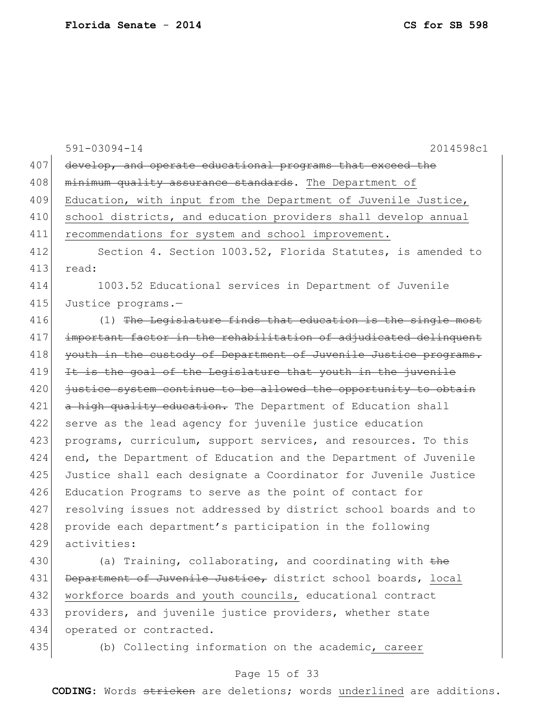|     | 2014598c1<br>$591 - 03094 - 14$                                  |
|-----|------------------------------------------------------------------|
| 407 | develop, and operate educational programs that exceed the        |
| 408 | minimum quality assurance standards. The Department of           |
| 409 | Education, with input from the Department of Juvenile Justice,   |
| 410 | school districts, and education providers shall develop annual   |
| 411 | recommendations for system and school improvement.               |
| 412 | Section 4. Section 1003.52, Florida Statutes, is amended to      |
| 413 | read:                                                            |
| 414 | 1003.52 Educational services in Department of Juvenile           |
| 415 | Justice programs.-                                               |
| 416 | (1) The Legislature finds that education is the single most      |
| 417 | important factor in the rehabilitation of adjudicated delinquent |
| 418 | youth in the custody of Department of Juvenile Justice programs. |
| 419 | It is the goal of the Legislature that youth in the juvenile     |
| 420 | justice system continue to be allowed the opportunity to obtain  |
| 421 | a high quality education. The Department of Education shall      |
| 422 | serve as the lead agency for juvenile justice education          |
| 423 | programs, curriculum, support services, and resources. To this   |
| 424 | end, the Department of Education and the Department of Juvenile  |
| 425 | Justice shall each designate a Coordinator for Juvenile Justice  |
| 426 | Education Programs to serve as the point of contact for          |
| 427 | resolving issues not addressed by district school boards and to  |
| 428 | provide each department's participation in the following         |
| 429 | activities:                                                      |
| 430 | (a) Training, collaborating, and coordinating with $the$         |
| 431 | Department of Juvenile Justice, district school boards, local    |
| 432 | workforce boards and youth councils, educational contract        |
| 433 | providers, and juvenile justice providers, whether state         |
| 434 | operated or contracted.                                          |
| 435 | (b) Collecting information on the academic, career               |

# Page 15 of 33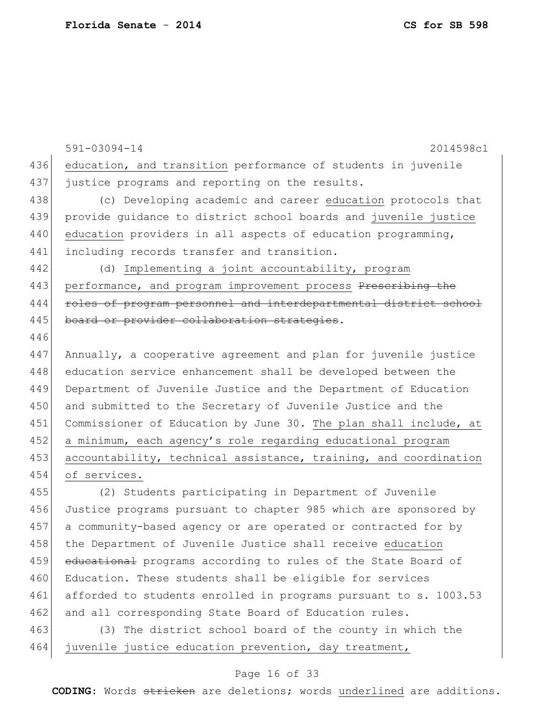446

591-03094-14 2014598c1 436 education, and transition performance of students in juvenile 437 justice programs and reporting on the results. 438 (c) Developing academic and career education protocols that 439 provide guidance to district school boards and juvenile justice 440 education providers in all aspects of education programming, 441 including records transfer and transition. 442 (d) Implementing a joint accountability, program 443 performance, and program improvement process Prescribing the 444 roles of program personnel and interdepartmental district school 445 board or provider collaboration strategies. 447 Annually, a cooperative agreement and plan for juvenile justice 448 education service enhancement shall be developed between the 449 Department of Juvenile Justice and the Department of Education

450 and submitted to the Secretary of Juvenile Justice and the 451 Commissioner of Education by June 30. The plan shall include, at 452 a minimum, each agency's role regarding educational program 453 accountability, technical assistance, training, and coordination 454 of services.

455 (2) Students participating in Department of Juvenile 456 Justice programs pursuant to chapter 985 which are sponsored by 457 a community-based agency or are operated or contracted for by 458 the Department of Juvenile Justice shall receive education 459 educational programs according to rules of the State Board of 460 Education. These students shall be eligible for services 461 afforded to students enrolled in programs pursuant to s. 1003.53 462 and all corresponding State Board of Education rules.

463 (3) The district school board of the county in which the 464 juvenile justice education prevention, day treatment,

### Page 16 of 33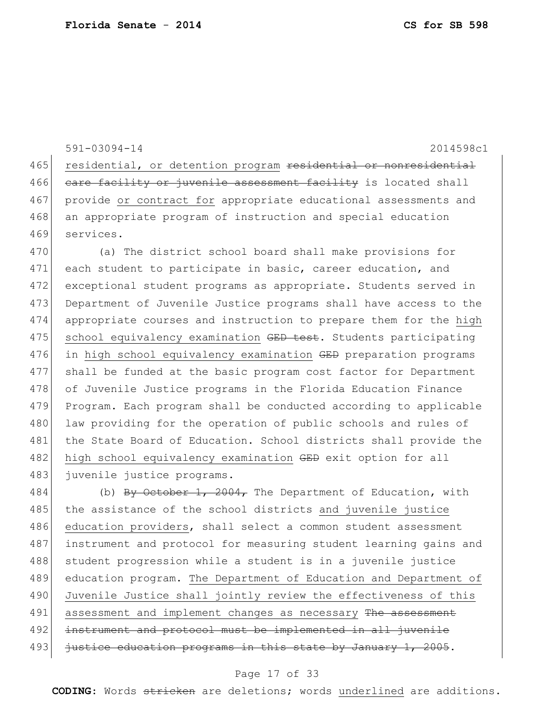```
591-03094-14 2014598c1
465 residential, or detention program residential or nonresidential
466 care facility or juvenile assessment facility is located shall
467 provide or contract for appropriate educational assessments and 
468 an appropriate program of instruction and special education
469 services.
470 (a) The district school board shall make provisions for 
471 each student to participate in basic, career education, and
472 exceptional student programs as appropriate. Students served in
473 Department of Juvenile Justice programs shall have access to the
```
474 appropriate courses and instruction to prepare them for the high 475 | school equivalency examination GED test. Students participating 476 in high school equivalency examination GED preparation programs 477 shall be funded at the basic program cost factor for Department 478 of Juvenile Justice programs in the Florida Education Finance 479 Program. Each program shall be conducted according to applicable 480 law providing for the operation of public schools and rules of 481 the State Board of Education. School districts shall provide the 482 high school equivalency examination GED exit option for all 483 juvenile justice programs.

484 (b) By October 1, 2004, The Department of Education, with 485 the assistance of the school districts and juvenile justice 486 education providers, shall select a common student assessment 487 instrument and protocol for measuring student learning gains and 488 student progression while a student is in a juvenile justice 489 education program. The Department of Education and Department of 490 Juvenile Justice shall jointly review the effectiveness of this 491 assessment and implement changes as necessary The assessment 492 instrument and protocol must be implemented in all juvenile 493 justice education programs in this state by January 1, 2005.

#### Page 17 of 33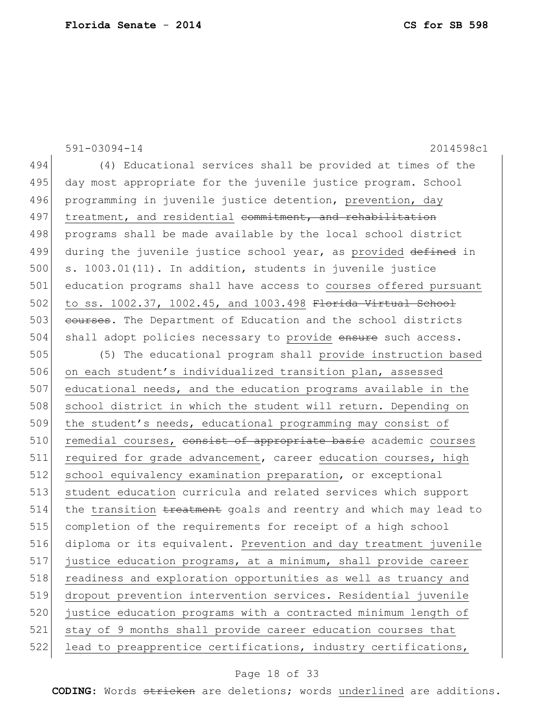|     | $591 - 03094 - 14$<br>2014598c1                                  |
|-----|------------------------------------------------------------------|
| 494 | (4) Educational services shall be provided at times of the       |
| 495 | day most appropriate for the juvenile justice program. School    |
| 496 | programming in juvenile justice detention, prevention, day       |
| 497 | treatment, and residential commitment, and rehabilitation        |
| 498 | programs shall be made available by the local school district    |
| 499 | during the juvenile justice school year, as provided defined in  |
| 500 | s. 1003.01(11). In addition, students in juvenile justice        |
| 501 | education programs shall have access to courses offered pursuant |
| 502 | to ss. 1002.37, 1002.45, and 1003.498 Florida Virtual School     |
| 503 | courses. The Department of Education and the school districts    |
| 504 | shall adopt policies necessary to provide ensure such access.    |
| 505 | (5) The educational program shall provide instruction based      |
| 506 | on each student's individualized transition plan, assessed       |
| 507 | educational needs, and the education programs available in the   |
| 508 | school district in which the student will return. Depending on   |
| 509 | the student's needs, educational programming may consist of      |
| 510 | remedial courses, consist of appropriate basic academic courses  |
| 511 | required for grade advancement, career education courses, high   |
| 512 | school equivalency examination preparation, or exceptional       |
| 513 | student education curricula and related services which support   |
| 514 | the transition treatment goals and reentry and which may lead to |
| 515 | completion of the requirements for receipt of a high school      |
| 516 | diploma or its equivalent. Prevention and day treatment juvenile |
| 517 | justice education programs, at a minimum, shall provide career   |
| 518 | readiness and exploration opportunities as well as truancy and   |
| 519 | dropout prevention intervention services. Residential juvenile   |
| 520 | justice education programs with a contracted minimum length of   |
| 521 | stay of 9 months shall provide career education courses that     |
| 522 | lead to preapprentice certifications, industry certifications,   |

# Page 18 of 33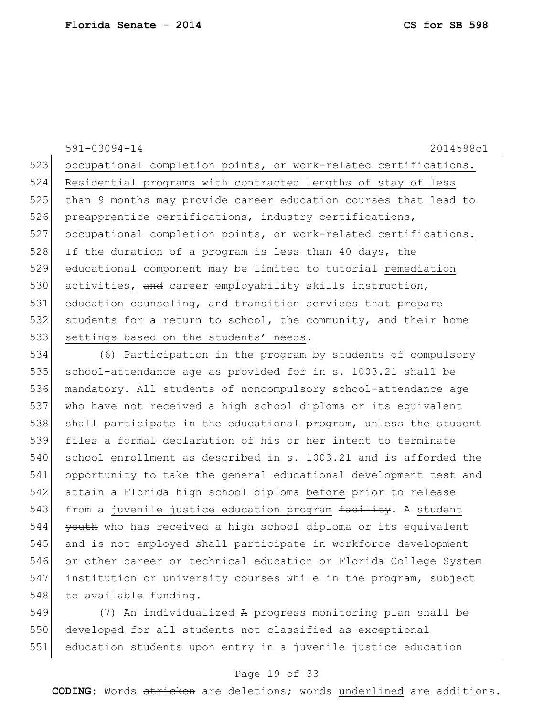591-03094-14 2014598c1 523 occupational completion points, or work-related certifications. 524 Residential programs with contracted lengths of stay of less 525 than 9 months may provide career education courses that lead to 526 preapprentice certifications, industry certifications, 527 occupational completion points, or work-related certifications. 528 If the duration of a program is less than 40 days, the 529 educational component may be limited to tutorial remediation 530 activities, and career employability skills instruction, 531 education counseling, and transition services that prepare 532 students for a return to school, the community, and their home 533 settings based on the students' needs.

534 (6) Participation in the program by students of compulsory 535 school-attendance age as provided for in s. 1003.21 shall be 536 mandatory. All students of noncompulsory school-attendance age 537 who have not received a high school diploma or its equivalent 538 shall participate in the educational program, unless the student 539 files a formal declaration of his or her intent to terminate 540 school enrollment as described in s. 1003.21 and is afforded the 541 opportunity to take the general educational development test and 542 attain a Florida high school diploma before prior to release 543 from a juvenile justice education program facility. A student 544 youth who has received a high school diploma or its equivalent 545 and is not employed shall participate in workforce development 546 or other career or technical education or Florida College System 547 institution or university courses while in the program, subject 548 to available funding.

549 (7) An individualized A progress monitoring plan shall be 550 developed for all students not classified as exceptional 551 education students upon entry in a juvenile justice education

### Page 19 of 33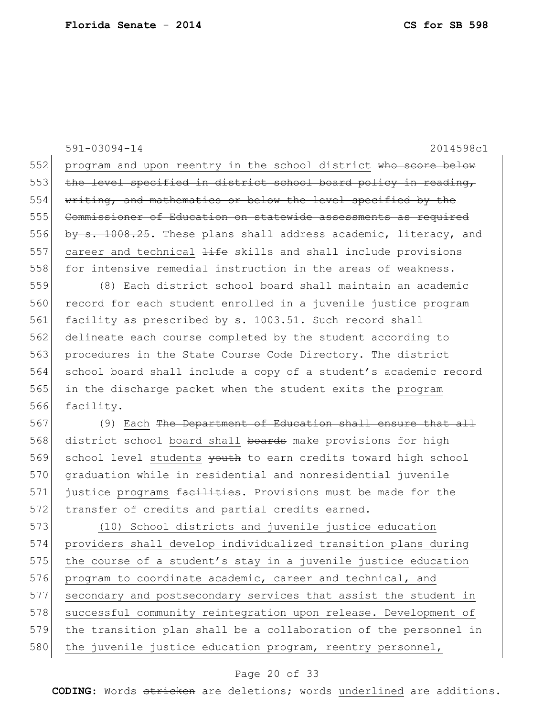591-03094-14 2014598c1 552 program and upon reentry in the school district who score below 553 the level specified in district school board policy in reading, 554 writing, and mathematics or below the level specified by the 555 Commissioner of Education on statewide assessments as required 556 by s. 1008.25. These plans shall address academic, literacy, and 557 career and technical  $\frac{1}{1}$  the skills and shall include provisions 558 for intensive remedial instruction in the areas of weakness. 559 (8) Each district school board shall maintain an academic 560 record for each student enrolled in a juvenile justice program 561 facility as prescribed by s. 1003.51. Such record shall 562 delineate each course completed by the student according to 563 procedures in the State Course Code Directory. The district 564 school board shall include a copy of a student's academic record 565 in the discharge packet when the student exits the program 566  $facility.$ 567 (9) Each The Department of Education shall ensure that all 568 district school board shall boards make provisions for high 569 school level students youth to earn credits toward high school 570 graduation while in residential and nonresidential juvenile 571 justice programs facilities. Provisions must be made for the 572 transfer of credits and partial credits earned. 573 (10) School districts and juvenile justice education 574 providers shall develop individualized transition plans during 575 the course of a student's stay in a juvenile justice education 576 program to coordinate academic, career and technical, and 577 secondary and postsecondary services that assist the student in 578 successful community reintegration upon release. Development of 579 the transition plan shall be a collaboration of the personnel in 580 the juvenile justice education program, reentry personnel,

### Page 20 of 33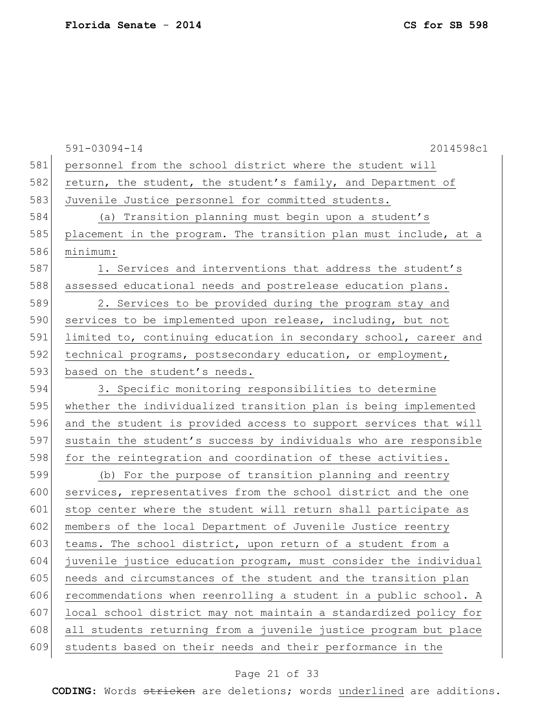591-03094-14 2014598c1 581 personnel from the school district where the student will 582 return, the student, the student's family, and Department of 583 Juvenile Justice personnel for committed students. 584 (a) Transition planning must begin upon a student's 585 placement in the program. The transition plan must include, at a 586 minimum: 587 1. Services and interventions that address the student's 588 assessed educational needs and postrelease education plans. 589 2. Services to be provided during the program stay and 590 services to be implemented upon release, including, but not 591 limited to, continuing education in secondary school, career and 592 technical programs, postsecondary education, or employment, 593 based on the student's needs. 594 3. Specific monitoring responsibilities to determine 595 whether the individualized transition plan is being implemented 596 and the student is provided access to support services that will 597 sustain the student's success by individuals who are responsible 598 for the reintegration and coordination of these activities. 599 (b) For the purpose of transition planning and reentry 600 services, representatives from the school district and the one 601 stop center where the student will return shall participate as 602 members of the local Department of Juvenile Justice reentry 603 teams. The school district, upon return of a student from a 604 juvenile justice education program, must consider the individual 605 needs and circumstances of the student and the transition plan 606 recommendations when reenrolling a student in a public school. A 607 local school district may not maintain a standardized policy for 608 all students returning from a juvenile justice program but place 609 students based on their needs and their performance in the

### Page 21 of 33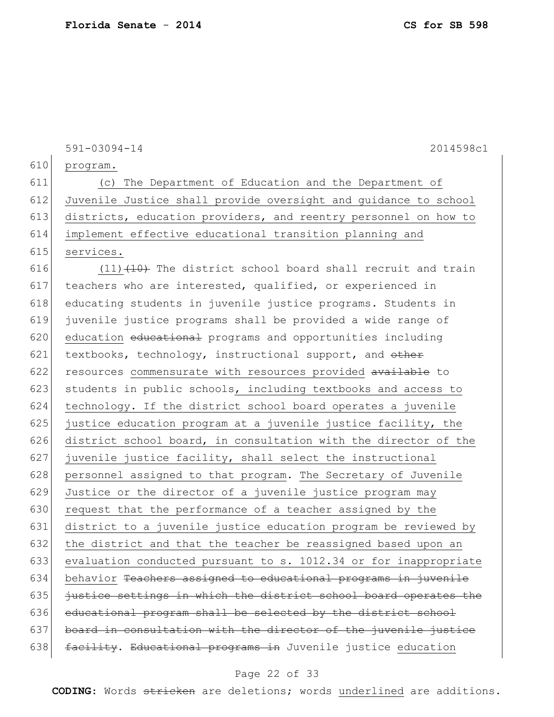591-03094-14 2014598c1 610 program. 611 (c) The Department of Education and the Department of 612 Juvenile Justice shall provide oversight and guidance to school 613 districts, education providers, and reentry personnel on how to 614 implement effective educational transition planning and 615 services. 616  $(11)$   $(10)$  The district school board shall recruit and train 617 teachers who are interested, qualified, or experienced in 618 educating students in juvenile justice programs. Students in 619 juvenile justice programs shall be provided a wide range of 620 education educational programs and opportunities including 621 textbooks, technology, instructional support, and  $\theta$ ther 622 resources commensurate with resources provided available to 623 students in public schools, including textbooks and access to 624 technology. If the district school board operates a juvenile 625 justice education program at a juvenile justice facility, the 626 district school board, in consultation with the director of the 627 juvenile justice facility, shall select the instructional 628 personnel assigned to that program. The Secretary of Juvenile 629 Justice or the director of a juvenile justice program may 630 request that the performance of a teacher assigned by the 631 district to a juvenile justice education program be reviewed by 632 the district and that the teacher be reassigned based upon an 633 evaluation conducted pursuant to s. 1012.34 or for inappropriate 634 behavior Teachers assigned to educational programs in juvenile  $635$  justice settings in which the district school board operates the 636 educational program shall be selected by the district school 637 board in consultation with the director of the juvenile justice 638 facility. Educational programs in Juvenile justice education

#### Page 22 of 33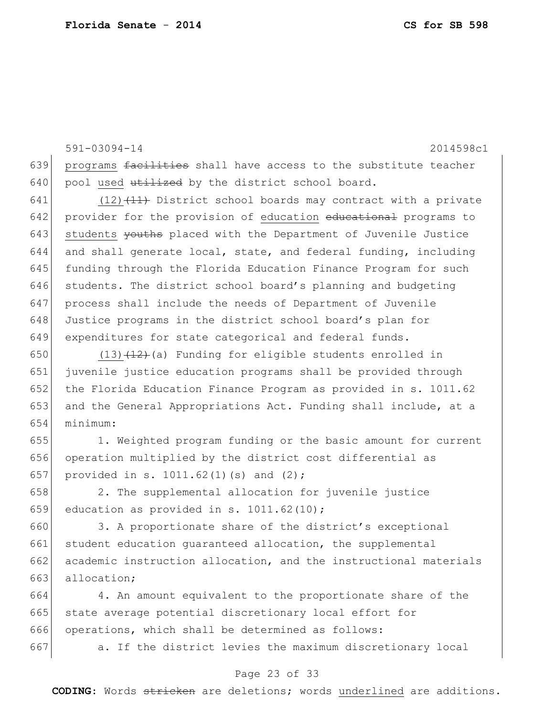591-03094-14 2014598c1 639 programs facilities shall have access to the substitute teacher  $640$  pool used utilized by the district school board.

641 (12) $(11)$  District school boards may contract with a private 642 provider for the provision of education educational programs to 643 students vouths placed with the Department of Juvenile Justice 644 and shall generate local, state, and federal funding, including 645 funding through the Florida Education Finance Program for such 646 students. The district school board's planning and budgeting 647 process shall include the needs of Department of Juvenile 648 Justice programs in the district school board's plan for 649 expenditures for state categorical and federal funds.

650 (13) $(12)$  (a) Funding for eligible students enrolled in 651 juvenile justice education programs shall be provided through 652 the Florida Education Finance Program as provided in s. 1011.62 653 and the General Appropriations Act. Funding shall include, at a 654 minimum:

655 1. Weighted program funding or the basic amount for current 656 operation multiplied by the district cost differential as 657 provided in s. 1011.62(1)(s) and  $(2)$ ;

658 2. The supplemental allocation for juvenile justice 659 education as provided in s. 1011.62(10);

660 3. A proportionate share of the district's exceptional 661 student education guaranteed allocation, the supplemental 662 academic instruction allocation, and the instructional materials 663 allocation;

664 4. An amount equivalent to the proportionate share of the 665 state average potential discretionary local effort for 666 operations, which shall be determined as follows:

667 a. If the district levies the maximum discretionary local

### Page 23 of 33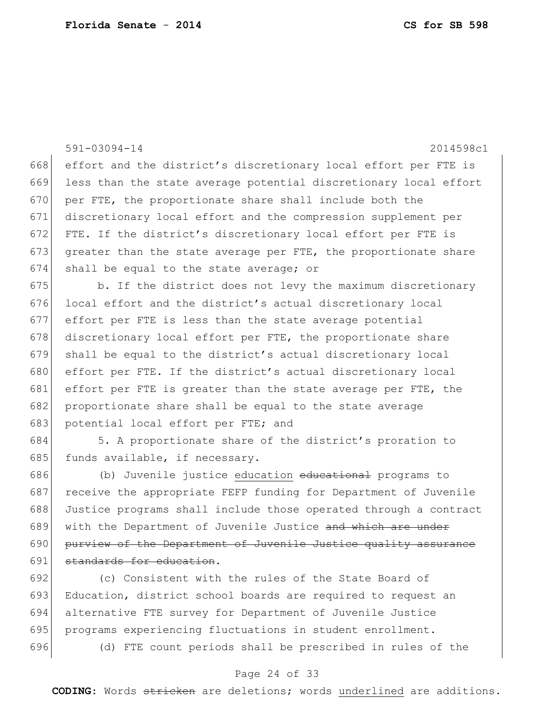|     | 2014598c1<br>$591 - 03094 - 14$                                  |
|-----|------------------------------------------------------------------|
| 668 | effort and the district's discretionary local effort per FTE is  |
| 669 | less than the state average potential discretionary local effort |
| 670 | per FTE, the proportionate share shall include both the          |
| 671 | discretionary local effort and the compression supplement per    |
| 672 | FTE. If the district's discretionary local effort per FTE is     |
| 673 | greater than the state average per FTE, the proportionate share  |
| 674 | shall be equal to the state average; or                          |
| 675 | b. If the district does not levy the maximum discretionary       |
| 676 | local effort and the district's actual discretionary local       |
| 677 | effort per FTE is less than the state average potential          |
| 678 | discretionary local effort per FTE, the proportionate share      |
| 679 | shall be equal to the district's actual discretionary local      |
| 680 | effort per FTE. If the district's actual discretionary local     |
| 681 | effort per FTE is greater than the state average per FTE, the    |
| 682 | proportionate share shall be equal to the state average          |
| 683 | potential local effort per FTE; and                              |
| 684 | 5. A proportionate share of the district's proration to          |
| 685 | funds available, if necessary.                                   |
| 686 | (b) Juvenile justice education educational programs to           |
| 687 | receive the appropriate FEFP funding for Department of Juvenile  |
| 688 | Justice programs shall include those operated through a contract |
| 689 | with the Department of Juvenile Justice and which are under      |
| 690 | purview of the Department of Juvenile Justice quality assurance  |
| 691 | standards for education.                                         |
| 692 | (c) Consistent with the rules of the State Board of              |
| 693 | Education, district school boards are required to request an     |
| 694 | alternative FTE survey for Department of Juvenile Justice        |

- 695 programs experiencing fluctuations in student enrollment.
- 

(d) FTE count periods shall be prescribed in rules of the

### Page 24 of 33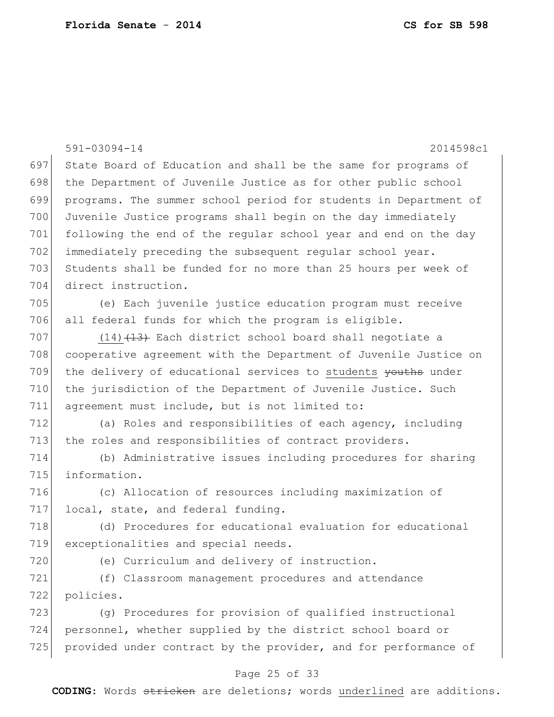|     | $591 - 03094 - 14$<br>2014598c1                                  |
|-----|------------------------------------------------------------------|
| 697 | State Board of Education and shall be the same for programs of   |
| 698 | the Department of Juvenile Justice as for other public school    |
| 699 | programs. The summer school period for students in Department of |
| 700 | Juvenile Justice programs shall begin on the day immediately     |
| 701 | following the end of the regular school year and end on the day  |
| 702 | immediately preceding the subsequent regular school year.        |
| 703 | Students shall be funded for no more than 25 hours per week of   |
| 704 | direct instruction.                                              |
| 705 | (e) Each juvenile justice education program must receive         |
| 706 | all federal funds for which the program is eligible.             |
| 707 | $(14)$ $(13)$ Each district school board shall negotiate a       |
| 708 | cooperative agreement with the Department of Juvenile Justice on |
| 709 | the delivery of educational services to students youths under    |
| 710 | the jurisdiction of the Department of Juvenile Justice. Such     |
| 711 | agreement must include, but is not limited to:                   |
| 712 | (a) Roles and responsibilities of each agency, including         |
| 713 | the roles and responsibilities of contract providers.            |
| 714 | (b) Administrative issues including procedures for sharing       |
| 715 | information.                                                     |
| 716 | (c) Allocation of resources including maximization of            |
| 717 | local, state, and federal funding.                               |
| 718 | (d) Procedures for educational evaluation for educational        |
| 719 | exceptionalities and special needs.                              |
| 720 | (e) Curriculum and delivery of instruction.                      |
| 721 | (f) Classroom management procedures and attendance               |
| 722 | policies.                                                        |
| 723 | (g) Procedures for provision of qualified instructional          |
| 724 | personnel, whether supplied by the district school board or      |
| 725 | provided under contract by the provider, and for performance of  |
|     | Page 25 of 33                                                    |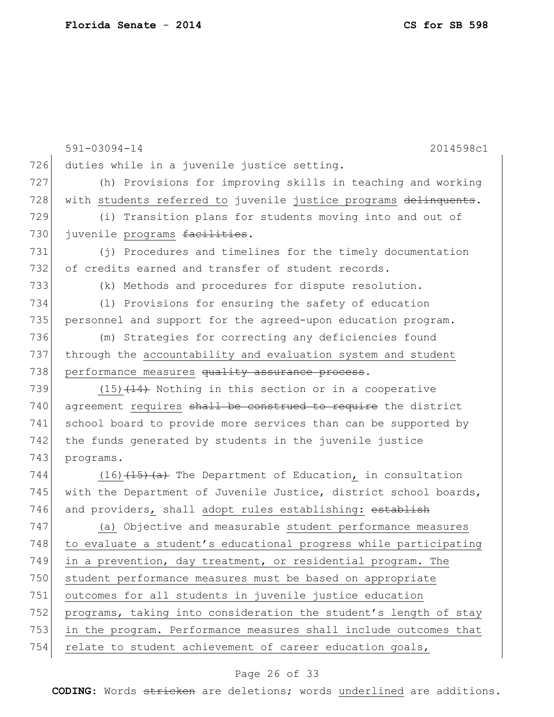|     | 591-03094-14<br>2014598c1                                        |
|-----|------------------------------------------------------------------|
| 726 | duties while in a juvenile justice setting.                      |
| 727 | (h) Provisions for improving skills in teaching and working      |
| 728 | with students referred to juvenile justice programs delinquents. |
| 729 | (i) Transition plans for students moving into and out of         |
| 730 | juvenile programs facilities.                                    |
| 731 | (j) Procedures and timelines for the timely documentation        |
| 732 | of credits earned and transfer of student records.               |
| 733 | (k) Methods and procedures for dispute resolution.               |
| 734 | (1) Provisions for ensuring the safety of education              |
| 735 | personnel and support for the agreed-upon education program.     |
| 736 | (m) Strategies for correcting any deficiencies found             |
| 737 | through the accountability and evaluation system and student     |
| 738 | performance measures quality assurance process.                  |
| 739 | $(15)$ $(14)$ Nothing in this section or in a cooperative        |
| 740 | agreement requires shall be construed to require the district    |
| 741 | school board to provide more services than can be supported by   |
| 742 | the funds generated by students in the juvenile justice          |
| 743 | programs.                                                        |
| 744 | $(16)$ $(15)$ $(a)$ The Department of Education, in consultation |
| 745 | with the Department of Juvenile Justice, district school boards, |
| 746 | and providers, shall adopt rules establishing: establish         |
| 747 | (a) Objective and measurable student performance measures        |
| 748 | to evaluate a student's educational progress while participating |
| 749 | in a prevention, day treatment, or residential program. The      |
| 750 | student performance measures must be based on appropriate        |
| 751 | outcomes for all students in juvenile justice education          |
| 752 | programs, taking into consideration the student's length of stay |
| 753 | in the program. Performance measures shall include outcomes that |
| 754 | relate to student achievement of career education goals,         |
|     | Page 26 of 33                                                    |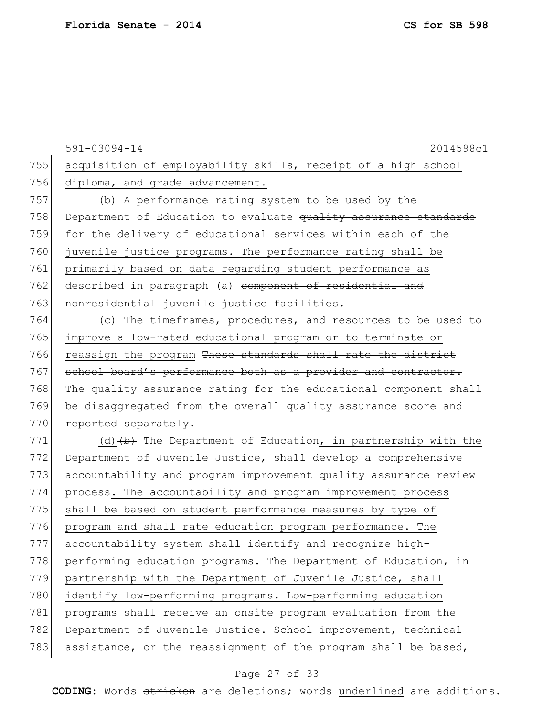|     | $591 - 03094 - 14$<br>2014598c1                                    |
|-----|--------------------------------------------------------------------|
| 755 | acquisition of employability skills, receipt of a high school      |
| 756 | diploma, and grade advancement.                                    |
| 757 | (b) A performance rating system to be used by the                  |
| 758 | Department of Education to evaluate quality assurance standards    |
| 759 | for the delivery of educational services within each of the        |
| 760 | juvenile justice programs. The performance rating shall be         |
| 761 | primarily based on data regarding student performance as           |
| 762 | described in paragraph (a) <del>component of residential and</del> |
| 763 | nonresidential juvenile justice facilities.                        |
| 764 | (c) The timeframes, procedures, and resources to be used to        |
| 765 | improve a low-rated educational program or to terminate or         |
| 766 | reassign the program These standards shall rate the district       |
| 767 | school board's performance both as a provider and contractor.      |
| 768 | The quality assurance rating for the educational component shall   |
| 769 | be disaggregated from the overall quality assurance score and      |
| 770 | reported separately.                                               |
| 771 | (d) $(b)$ The Department of Education, in partnership with the     |
| 772 | Department of Juvenile Justice, shall develop a comprehensive      |
| 773 | accountability and program improvement quality assurance review    |
| 774 | process. The accountability and program improvement process        |
| 775 | shall be based on student performance measures by type of          |
| 776 | program and shall rate education program performance. The          |
| 777 | accountability system shall identify and recognize high-           |
| 778 | performing education programs. The Department of Education, in     |
| 779 | partnership with the Department of Juvenile Justice, shall         |
| 780 | identify low-performing programs. Low-performing education         |
| 781 | programs shall receive an onsite program evaluation from the       |
| 782 | Department of Juvenile Justice. School improvement, technical      |
| 783 | assistance, or the reassignment of the program shall be based,     |

# Page 27 of 33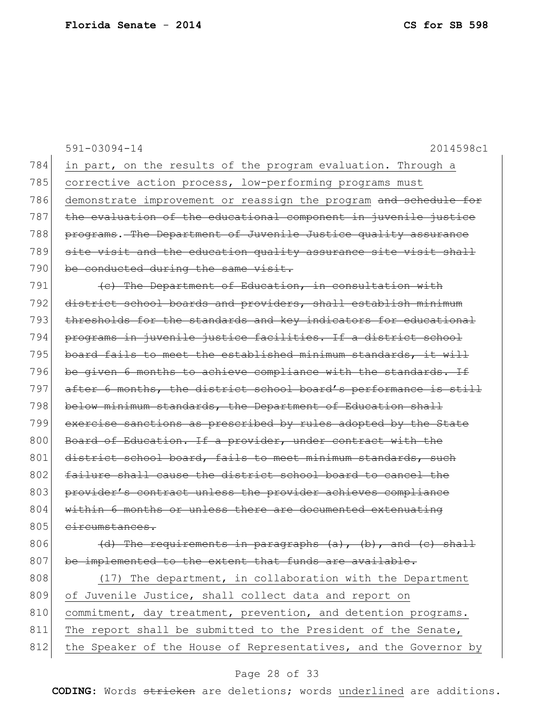|     | $591 - 03094 - 14$<br>2014598c1                                      |
|-----|----------------------------------------------------------------------|
| 784 | in part, on the results of the program evaluation. Through a         |
| 785 | corrective action process, low-performing programs must              |
| 786 | demonstrate improvement or reassign the program and schedule for     |
| 787 | the evaluation of the educational component in juvenile justice      |
| 788 | programs. The Department of Juvenile Justice quality assurance       |
| 789 | site visit and the education quality assurance site visit shall      |
| 790 | be conducted during the same visit.                                  |
| 791 | (e) The Department of Education, in consultation with                |
| 792 | district school boards and providers, shall establish minimum        |
| 793 | thresholds for the standards and key indicators for educational      |
| 794 | programs in juvenile justice facilities. If a district school        |
| 795 | board fails to meet the established minimum standards, it will       |
| 796 | be given 6 months to achieve compliance with the standards. If       |
| 797 | after 6 months, the district school board's performance is still     |
| 798 | below minimum standards, the Department of Education shall           |
| 799 | exercise sanctions as prescribed by rules adopted by the State       |
| 800 | Board of Education. If a provider, under contract with the           |
| 801 | district school board, fails to meet minimum standards, such         |
| 802 | failure shall cause the district school board to cancel the          |
| 803 | provider's contract unless the provider achieves compliance          |
| 804 | within 6 months or unless there are documented extenuating           |
| 805 | circumstances.                                                       |
| 806 | $(d)$ The requirements in paragraphs $(a)$ , $(b)$ , and $(c)$ shall |
| 807 | be implemented to the extent that funds are available.               |
| 808 | (17) The department, in collaboration with the Department            |
| 809 | of Juvenile Justice, shall collect data and report on                |
| 810 | commitment, day treatment, prevention, and detention programs.       |
| 811 | The report shall be submitted to the President of the Senate,        |
| 812 | the Speaker of the House of Representatives, and the Governor by     |

# Page 28 of 33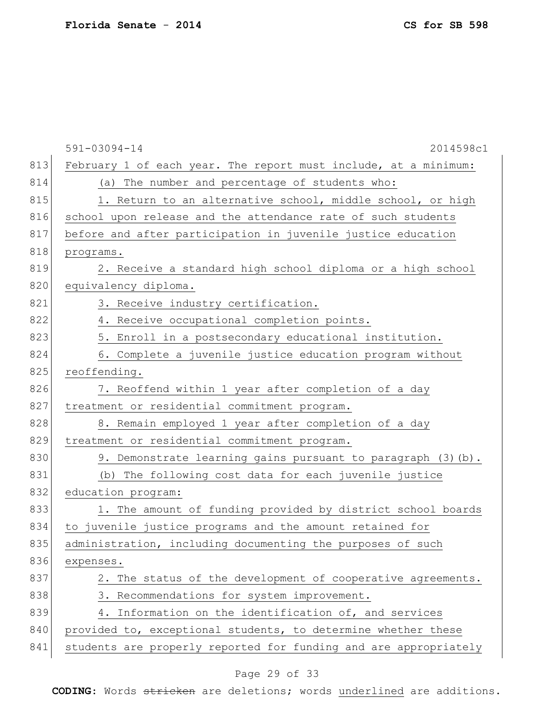|     | 591-03094-14<br>2014598c1                                        |
|-----|------------------------------------------------------------------|
| 813 | February 1 of each year. The report must include, at a minimum:  |
| 814 | (a) The number and percentage of students who:                   |
| 815 | 1. Return to an alternative school, middle school, or high       |
| 816 | school upon release and the attendance rate of such students     |
| 817 | before and after participation in juvenile justice education     |
| 818 | programs.                                                        |
| 819 | 2. Receive a standard high school diploma or a high school       |
| 820 | equivalency diploma.                                             |
| 821 | 3. Receive industry certification.                               |
| 822 | 4. Receive occupational completion points.                       |
| 823 | 5. Enroll in a postsecondary educational institution.            |
| 824 | 6. Complete a juvenile justice education program without         |
| 825 | reoffending.                                                     |
| 826 | 7. Reoffend within 1 year after completion of a day              |
| 827 | treatment or residential commitment program.                     |
| 828 | 8. Remain employed 1 year after completion of a day              |
| 829 | treatment or residential commitment program.                     |
| 830 | 9. Demonstrate learning gains pursuant to paragraph (3) (b).     |
| 831 | (b) The following cost data for each juvenile justice            |
| 832 | education program:                                               |
| 833 | 1. The amount of funding provided by district school boards      |
| 834 | to juvenile justice programs and the amount retained for         |
| 835 | administration, including documenting the purposes of such       |
| 836 | expenses.                                                        |
| 837 | 2. The status of the development of cooperative agreements.      |
| 838 | 3. Recommendations for system improvement.                       |
| 839 | 4. Information on the identification of, and services            |
| 840 | provided to, exceptional students, to determine whether these    |
| 841 | students are properly reported for funding and are appropriately |

# Page 29 of 33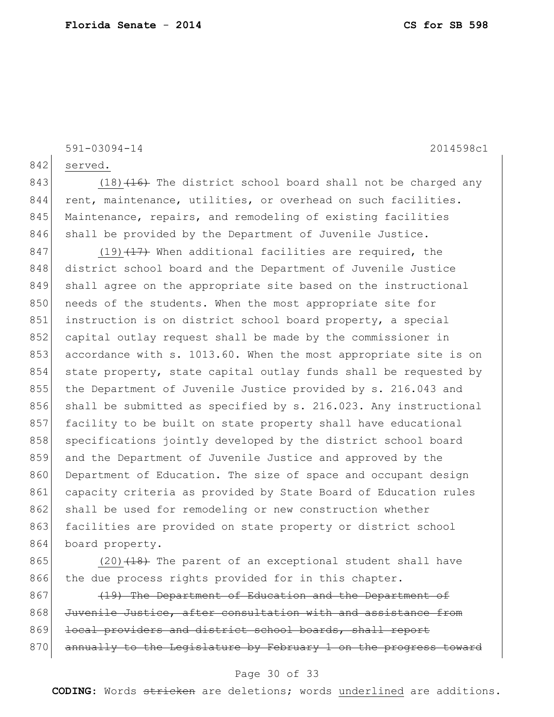591-03094-14 2014598c1

842 served.

843 (18) $(16)$  The district school board shall not be charged any 844 rent, maintenance, utilities, or overhead on such facilities. 845 Maintenance, repairs, and remodeling of existing facilities 846 shall be provided by the Department of Juvenile Justice.

 $847$  (19)  $\left(17\right)$  When additional facilities are required, the 848 district school board and the Department of Juvenile Justice 849 shall agree on the appropriate site based on the instructional 850 needs of the students. When the most appropriate site for 851 instruction is on district school board property, a special 852 capital outlay request shall be made by the commissioner in 853 accordance with s. 1013.60. When the most appropriate site is on 854 state property, state capital outlay funds shall be requested by 855 the Department of Juvenile Justice provided by s. 216.043 and 856 shall be submitted as specified by s. 216.023. Any instructional 857 facility to be built on state property shall have educational 858 specifications jointly developed by the district school board 859 and the Department of Juvenile Justice and approved by the 860 Department of Education. The size of space and occupant design 861 capacity criteria as provided by State Board of Education rules 862 shall be used for remodeling or new construction whether 863 facilities are provided on state property or district school 864 board property.

865 (20) $(18)$  The parent of an exceptional student shall have 866 the due process rights provided for in this chapter.

867 (19) The Department of Education and the Department of 868 Juvenile Justice, after consultation with and assistance from 869 local providers and district school boards, shall report 870 annually to the Legislature by February 1 on the progress toward

### Page 30 of 33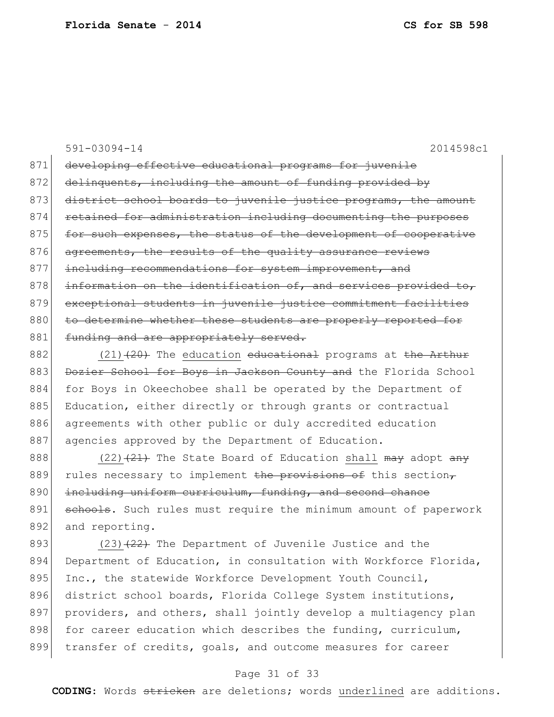591-03094-14 2014598c1 871 developing effective educational programs for juvenile 872 delinquents, including the amount of funding provided by 873 district school boards to juvenile justice programs, the amount 874 retained for administration including documenting the purposes 875 for such expenses, the status of the development of cooperative 876 agreements, the results of the quality assurance reviews 877 including recommendations for system improvement, and 878 information on the identification of, and services provided to, 879 exceptional students in juvenile justice commitment facilities 880 to determine whether these students are properly reported for 881 funding and are appropriately served. 882 (21) $(21)$  The education educational programs at the Arthur

883 Dozier School for Boys in Jackson County and the Florida School 884 for Boys in Okeechobee shall be operated by the Department of 885 Education, either directly or through grants or contractual 886 agreements with other public or duly accredited education 887 agencies approved by the Department of Education.

888 (22)  $(21)$  The State Board of Education shall may adopt any 889 rules necessary to implement the provisions of this section, 890 including uniform curriculum, funding, and second chance 891 schools. Such rules must require the minimum amount of paperwork 892 and reporting.

893 (23) $(23)$  The Department of Juvenile Justice and the 894 Department of Education, in consultation with Workforce Florida, 895 Inc., the statewide Workforce Development Youth Council, 896 district school boards, Florida College System institutions, 897 providers, and others, shall jointly develop a multiagency plan 898 for career education which describes the funding, curriculum, 899 transfer of credits, goals, and outcome measures for career

### Page 31 of 33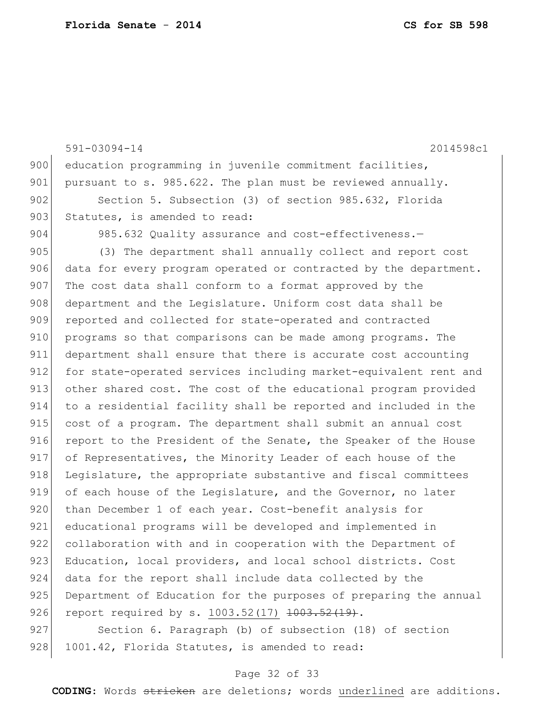```
591-03094-14 2014598c1
900 education programming in juvenile commitment facilities,
901 pursuant to s. 985.622. The plan must be reviewed annually.
902 Section 5. Subsection (3) of section 985.632, Florida
903 Statutes, is amended to read:
904 985.632 Quality assurance and cost-effectiveness.-
905 (3) The department shall annually collect and report cost
906 data for every program operated or contracted by the department.
907 The cost data shall conform to a format approved by the
908 department and the Legislature. Uniform cost data shall be
909 reported and collected for state-operated and contracted
910 programs so that comparisons can be made among programs. The
911 department shall ensure that there is accurate cost accounting 
912 for state-operated services including market-equivalent rent and
913 other shared cost. The cost of the educational program provided 
914 to a residential facility shall be reported and included in the 
915 cost of a program. The department shall submit an annual cost 
916 report to the President of the Senate, the Speaker of the House
917 of Representatives, the Minority Leader of each house of the
918 Legislature, the appropriate substantive and fiscal committees
919 of each house of the Legislature, and the Governor, no later 
920 than December 1 of each year. Cost-benefit analysis for
921 educational programs will be developed and implemented in
922 collaboration with and in cooperation with the Department of
923 Education, local providers, and local school districts. Cost
924 data for the report shall include data collected by the 
925 Department of Education for the purposes of preparing the annual
926 report required by s. 1003.52(17) 1003.52(19).
927 Section 6. Paragraph (b) of subsection (18) of section
```
928 1001.42, Florida Statutes, is amended to read:

### Page 32 of 33